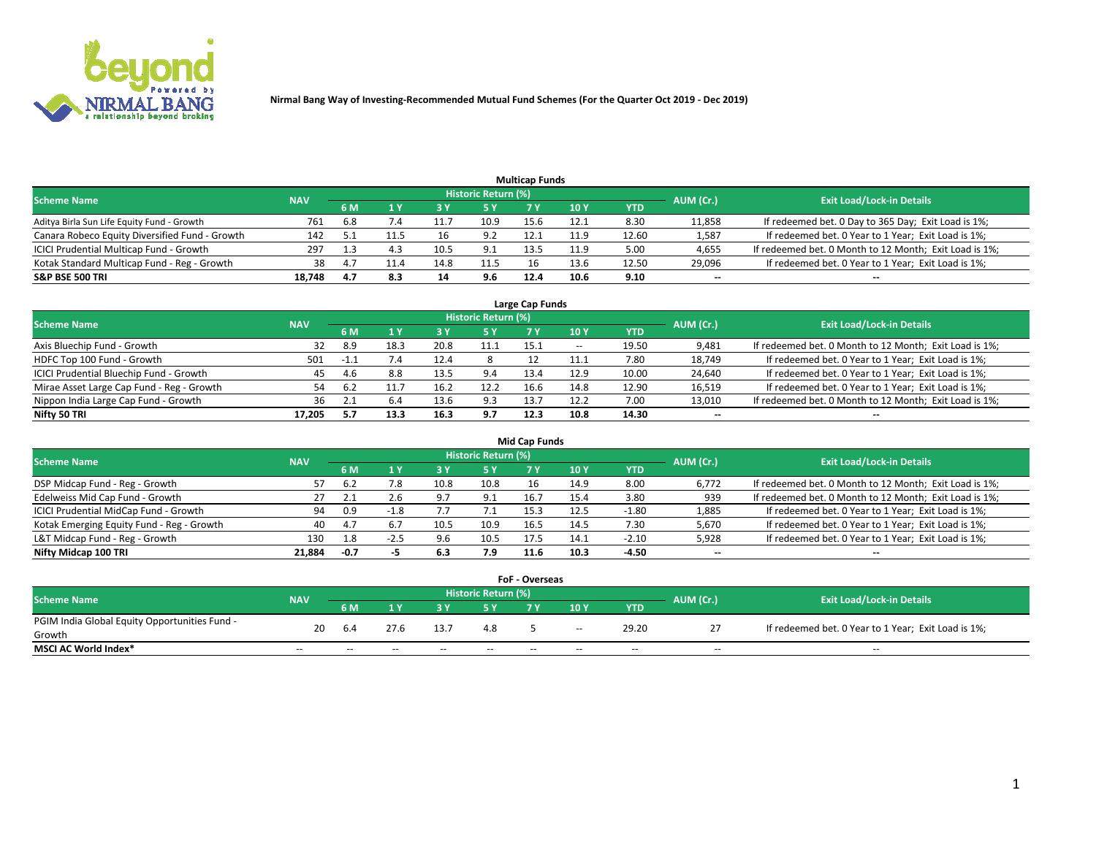

| <b>Multicap Funds</b>                          |            |      |      |      |                     |      |      |       |                          |                                                        |  |  |  |  |
|------------------------------------------------|------------|------|------|------|---------------------|------|------|-------|--------------------------|--------------------------------------------------------|--|--|--|--|
| <b>Scheme Name</b>                             | <b>NAV</b> |      |      |      | Historic Return (%) |      |      |       | AUM (Cr.)                | <b>Exit Load/Lock-in Details</b>                       |  |  |  |  |
|                                                |            | 6 M  |      |      | <b>5 Y</b>          |      | 10Y  | YTD   |                          |                                                        |  |  |  |  |
| Aditya Birla Sun Life Equity Fund - Growth     | 761        | 6.8  | 7.4  |      | 10.9                | 15.6 | 12.1 | 8.30  | 11,858                   | If redeemed bet. 0 Day to 365 Day; Exit Load is 1%;    |  |  |  |  |
| Canara Robeco Equity Diversified Fund - Growth | 142        |      |      | 16   | 9.2                 | 12.1 | 11.9 | 12.60 | 1,587                    | If redeemed bet. 0 Year to 1 Year; Exit Load is 1%;    |  |  |  |  |
| ICICI Prudential Multicap Fund - Growth        | 297        |      |      | 10.5 | 9.1                 |      | 11.9 | 5.00  | 4,655                    | If redeemed bet. 0 Month to 12 Month; Exit Load is 1%; |  |  |  |  |
| Kotak Standard Multicap Fund - Reg - Growth    | 38         | -4.7 | 11.4 | 14.8 | 11.5                |      | 13.6 | 12.50 | 29,096                   | If redeemed bet. 0 Year to 1 Year; Exit Load is 1%;    |  |  |  |  |
| <b>S&amp;P BSE 500 TRI</b>                     | 18.748     | -4.7 | 8.3  | 14   | 9.6                 | 12.4 | 10.6 | 9.10  | $\overline{\phantom{a}}$ | $- -$                                                  |  |  |  |  |

| Large Cap Funds                           |            |        |      |      |                     |      |       |       |           |                                                        |  |  |  |  |
|-------------------------------------------|------------|--------|------|------|---------------------|------|-------|-------|-----------|--------------------------------------------------------|--|--|--|--|
| <b>Scheme Name</b>                        | <b>NAV</b> |        |      |      | Historic Return (%) |      |       |       | AUM (Cr.) | <b>Exit Load/Lock-in Details</b>                       |  |  |  |  |
|                                           |            | 6 M    | 4 Y  | 3 Y  | 5 Y                 | 7 V  | 10Y   | YTD   |           |                                                        |  |  |  |  |
| Axis Bluechip Fund - Growth               | 32         | 8.9    | 18.3 | 20.8 | 11.1                | 15.1 | $- -$ | 19.50 | 9,481     | If redeemed bet. 0 Month to 12 Month; Exit Load is 1%; |  |  |  |  |
| HDFC Top 100 Fund - Growth                | 501        | $-1.1$ |      | 12.4 |                     |      | 11.1  | 7.80  | 18,749    | If redeemed bet. 0 Year to 1 Year; Exit Load is 1%;    |  |  |  |  |
| ICICI Prudential Bluechip Fund - Growth   | 45         | -4.6   | 8.8  | 13.5 | 9.4                 | 13.4 | 12.9  | 10.00 | 24,640    | If redeemed bet. 0 Year to 1 Year; Exit Load is 1%;    |  |  |  |  |
| Mirae Asset Large Cap Fund - Reg - Growth | 54         | 6.2    |      | 16.2 | 12.2                | 16.6 | 14.8  | 12.90 | 16,519    | If redeemed bet. 0 Year to 1 Year; Exit Load is 1%;    |  |  |  |  |
| Nippon India Large Cap Fund - Growth      | 36         |        | 6.4  | 13.6 | 9.3                 | 13.7 | 12.2  | 7.00  | 13,010    | If redeemed bet. 0 Month to 12 Month; Exit Load is 1%; |  |  |  |  |
| Nifty 50 TRI                              | 17.205     |        | 13.3 | 16.3 | 9.7                 | 12.3 | 10.8  | 14.30 | $- -$     | $- -$                                                  |  |  |  |  |

| Mid Cap Funds                             |            |        |     |      |                            |      |      |         |           |                                                        |  |  |  |  |
|-------------------------------------------|------------|--------|-----|------|----------------------------|------|------|---------|-----------|--------------------------------------------------------|--|--|--|--|
| <b>Scheme Name</b>                        | <b>NAV</b> |        |     |      | <b>Historic Return (%)</b> |      |      |         | AUM (Cr.) | <b>Exit Load/Lock-in Details</b>                       |  |  |  |  |
|                                           |            | 6 M    |     |      | <b>5Y</b>                  | 7 Y  | 10Y  | YTD     |           |                                                        |  |  |  |  |
| DSP Midcap Fund - Reg - Growth            | 57         |        | 7.8 | 10.8 | 10.8                       | 16   | 14.9 | 8.00    | 6,772     | If redeemed bet. 0 Month to 12 Month; Exit Load is 1%; |  |  |  |  |
| Edelweiss Mid Cap Fund - Growth           | 27         |        | 2.6 | 9.7  | 9.1                        | 16.7 | 15.4 | 3.80    | 939       | If redeemed bet. 0 Month to 12 Month; Exit Load is 1%; |  |  |  |  |
| ICICI Prudential MidCap Fund - Growth     | 94         | 0.9    |     |      | 7. L                       | 15.3 | 12.5 | -1.80   | 1,885     | If redeemed bet. 0 Year to 1 Year; Exit Load is 1%;    |  |  |  |  |
| Kotak Emerging Equity Fund - Reg - Growth | 40         | -4.7   |     | 10.5 | 10.9                       | 16.5 | 14.5 | 7.30    | 5,670     | If redeemed bet. 0 Year to 1 Year; Exit Load is 1%;    |  |  |  |  |
| L&T Midcap Fund - Reg - Growth            | 130        | 1.8    |     | 9.6  | 10.5                       | 17.5 | 14.1 | $-2.10$ | 5,928     | If redeemed bet. 0 Year to 1 Year; Exit Load is 1%;    |  |  |  |  |
| Nifty Midcap 100 TRI                      | 21.884     | $-0.7$ |     | 6.3  | 7.9                        | 11.6 | 10.3 | $-4.50$ | $\sim$    | $- -$                                                  |  |  |  |  |

|                                               |            |                                                                      |       |       |       | <b>FoF - Overseas</b> |       |            |        |                                                     |  |
|-----------------------------------------------|------------|----------------------------------------------------------------------|-------|-------|-------|-----------------------|-------|------------|--------|-----------------------------------------------------|--|
| Scheme Name                                   | <b>NAV</b> | Historic Return (%)<br><b>Exit Load/Lock-in Details</b><br>AUM (Cr.) |       |       |       |                       |       |            |        |                                                     |  |
|                                               |            | 6 M                                                                  |       |       |       |                       | 10Y   | <b>YTD</b> |        |                                                     |  |
| PGIM India Global Equity Opportunities Fund - | 20         |                                                                      | 27.6  | 13.7  | 4.8   |                       |       | 29.20      |        | If redeemed bet. 0 Year to 1 Year; Exit Load is 1%; |  |
| Growth                                        |            | -6.4                                                                 |       |       |       |                       | $- -$ |            |        |                                                     |  |
| <b>MSCI AC World Index*</b>                   | $- -$      | $- -$                                                                | $- -$ | $- -$ | $- -$ | $- -$                 | $- -$ | $-$        | $\sim$ | $-$                                                 |  |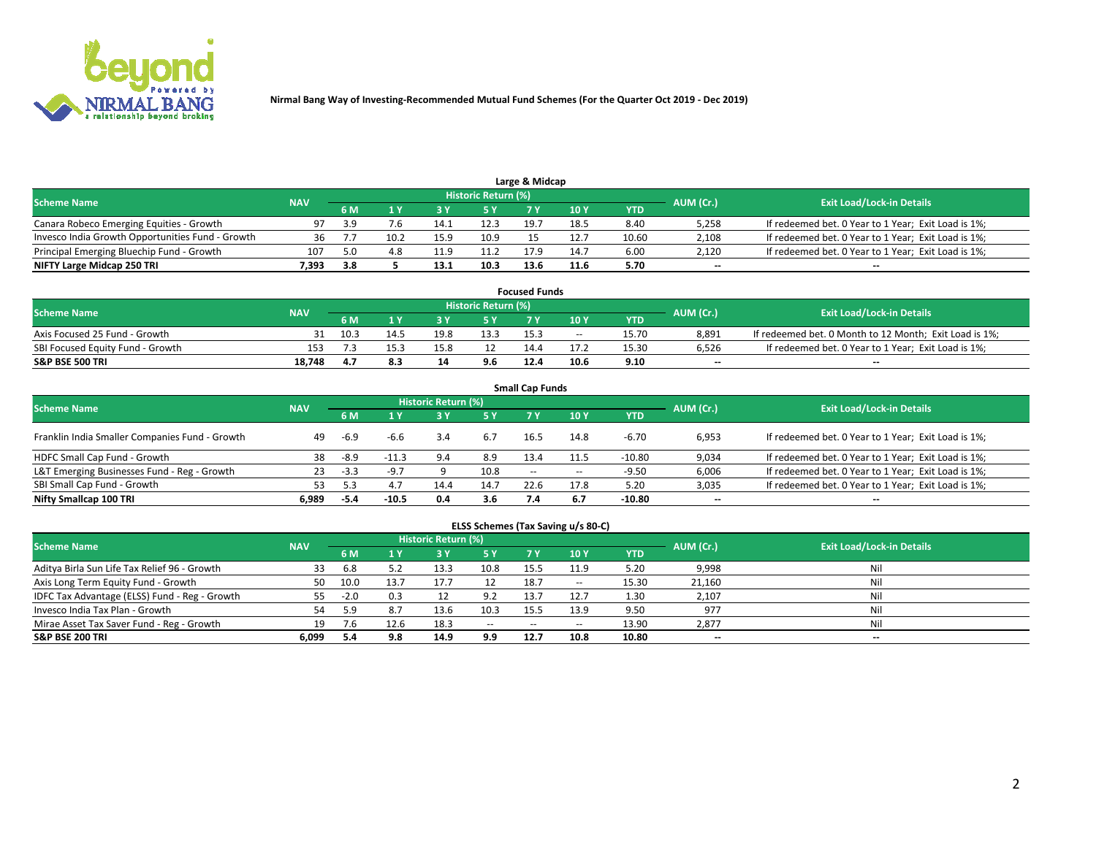

| Large & Midcap<br>Historic Return (%)            |            |     |                |      |      |      |      |       |           |                                                     |  |  |  |  |
|--------------------------------------------------|------------|-----|----------------|------|------|------|------|-------|-----------|-----------------------------------------------------|--|--|--|--|
| <b>Scheme Name</b>                               | <b>NAV</b> | 6 M |                |      |      |      | 10 Y | YTD   | AUM (Cr.) | <b>Exit Load/Lock-in Details</b>                    |  |  |  |  |
| Canara Robeco Emerging Equities - Growth         | 97         | 3.9 | $^{\prime}$ .b | 14.1 | 12.3 | 19.7 | 18.5 | 8.40  | 5,258     | If redeemed bet. 0 Year to 1 Year; Exit Load is 1%; |  |  |  |  |
| Invesco India Growth Opportunities Fund - Growth |            |     | 10.2           | 15.9 | 10.9 |      | 12.7 | 10.60 | 2,108     | If redeemed bet. 0 Year to 1 Year; Exit Load is 1%; |  |  |  |  |
| Principal Emerging Bluechip Fund - Growth        | 107        | 5.0 | 4.8            | 11.9 | 11.2 | 179  | 14.7 | 6.00  | 2,120     | If redeemed bet. 0 Year to 1 Year; Exit Load is 1%; |  |  |  |  |
| NIFTY Large Midcap 250 TRI                       | 7.393      | 3.8 |                | 13.1 | 10.3 | 13.6 | 11.6 | 5.70  | $\sim$    | $- -$                                               |  |  |  |  |

|                                  |            |      |      |      |                     | <b>Focused Funds</b> |       |       |           |                                                        |
|----------------------------------|------------|------|------|------|---------------------|----------------------|-------|-------|-----------|--------------------------------------------------------|
| <b>Scheme Name</b>               | <b>NAV</b> |      |      |      | Historic Return (%) |                      |       |       | AUM (Cr.) | <b>Exit Load/Lock-in Details</b>                       |
|                                  |            | 6 M  |      |      |                     |                      | 10 Y  | YTD   |           |                                                        |
| Axis Focused 25 Fund - Growth    |            | 10.3 | 14.5 | 19.8 | 13.3                | 15.3                 | $- -$ | 15.70 | 8.891     | If redeemed bet. 0 Month to 12 Month; Exit Load is 1%; |
| SBI Focused Equity Fund - Growth | 153        |      | 15.3 |      |                     | 14.4                 | 17.2  | 15.30 | 6.526     | If redeemed bet. 0 Year to 1 Year; Exit Load is 1%;    |
| <b>S&amp;P BSE 500 TRI</b>       | 18.748     | 4. . | 8.3  | 14   | 9.6                 | 12.4                 | 10.6  | 9.10  | $\sim$    | $- -$                                                  |

| <b>Small Cap Funds</b>                         |            |        |         |                     |      |        |       |          |                          |                                                     |  |  |  |  |
|------------------------------------------------|------------|--------|---------|---------------------|------|--------|-------|----------|--------------------------|-----------------------------------------------------|--|--|--|--|
| <b>Scheme Name</b>                             | <b>NAV</b> |        |         | Historic Return (%) |      |        |       |          | AUM (Cr.)                | <b>Exit Load/Lock-in Details</b>                    |  |  |  |  |
|                                                |            | 6 M    |         | 3Y                  | 5 Y  | 7 Y    | 10Y   | YTD      |                          |                                                     |  |  |  |  |
| Franklin India Smaller Companies Fund - Growth | -49        | $-6.9$ | -6.6    |                     | 6.7  | 16.5   | 14.8  | $-6.70$  | 6,953                    | If redeemed bet. 0 Year to 1 Year; Exit Load is 1%; |  |  |  |  |
| HDFC Small Cap Fund - Growth                   | 38         | $-8.9$ | $-11.3$ | 9.4                 | 8.9  | 13.4   | 11.5  | $-10.80$ | 9,034                    | If redeemed bet. 0 Year to 1 Year; Exit Load is 1%; |  |  |  |  |
| L&T Emerging Businesses Fund - Reg - Growth    | 23         | $-3.3$ | $-9.7$  |                     | 10.8 | $\sim$ | $- -$ | $-9.50$  | 6,006                    | If redeemed bet. 0 Year to 1 Year; Exit Load is 1%; |  |  |  |  |
| SBI Small Cap Fund - Growth                    | 53         |        |         | 14.4                | 14.7 | 22.6   | 17.8  | 5.20     | 3,035                    | If redeemed bet. 0 Year to 1 Year; Exit Load is 1%; |  |  |  |  |
| Nifty Smallcap 100 TRI                         | 6.989      | -5.4   | $-10.5$ | 0.4                 | 3.6  |        | 6.7   | -10.80   | $\overline{\phantom{a}}$ | $- -$                                               |  |  |  |  |

## **ELSS Schemes (Tax Saving u/s 80-C)**

| <b>Scheme Name</b>                            | <b>NAV</b> |        |      | <b>Historic Return (%)</b> |           |           |      |       | AUM (Cr.) | <b>Exit Load/Lock-in Details</b> |
|-----------------------------------------------|------------|--------|------|----------------------------|-----------|-----------|------|-------|-----------|----------------------------------|
|                                               |            | 6 M    | 1 Y  | 73 Y                       | <b>5Y</b> | <b>7Y</b> | 10Y  | YTD   |           |                                  |
| Aditya Birla Sun Life Tax Relief 96 - Growth  | 33         | 6.8    |      | 13.3                       | 10.8      | 15.5      | 11.9 | 5.20  | 9,998     | Nil                              |
| Axis Long Term Equity Fund - Growth           | 50         | 10.0   | 13.7 |                            | 12        | 18.7      | --   | 15.30 | 21,160    | Nil                              |
| IDFC Tax Advantage (ELSS) Fund - Reg - Growth | 55         | $-2.0$ | 0.3  |                            | 9.2       | 13.7      | 12.7 | 1.30  | 2,107     | Nil                              |
| Invesco India Tax Plan - Growth               | 54         | 5.9    |      | 13.6                       | 10.3      | 15.5      | 13.9 | 9.50  | 977       | Nil                              |
| Mirae Asset Tax Saver Fund - Reg - Growth     | 19         | '.b    | 12.6 | 18.3                       | $- -$     | $- -$     | --   | 13.90 | 2,877     | Nil                              |
| S&P BSE 200 TRI                               | 6,099      |        | 9.8  | 14.9                       | 9.9       | 12.7      | 10.8 | 10.80 | $\sim$    | $- -$                            |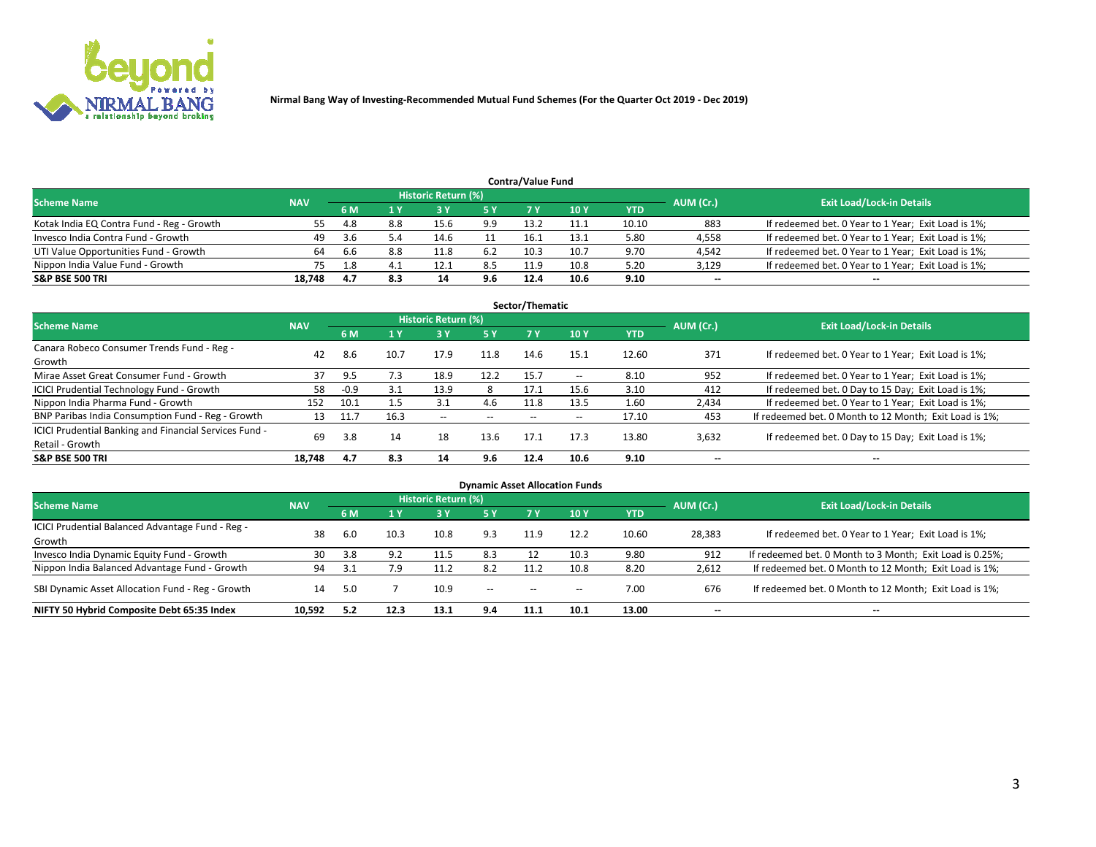

|                                                                                                                 |        |     |     |      |     | <b>Contra/Value Fund</b> |      |       |        |                                                     |  |  |  |  |
|-----------------------------------------------------------------------------------------------------------------|--------|-----|-----|------|-----|--------------------------|------|-------|--------|-----------------------------------------------------|--|--|--|--|
| <b>Historic Return (%)</b><br><b>Exit Load/Lock-in Details</b><br>AUM (Cr.)<br><b>Scheme Name</b><br><b>NAV</b> |        |     |     |      |     |                          |      |       |        |                                                     |  |  |  |  |
|                                                                                                                 |        | 6 M |     |      | 5 Y | 7 V                      | 10Y  | YTD   |        |                                                     |  |  |  |  |
| Kotak India EQ Contra Fund - Reg - Growth                                                                       | 55.    | 4.8 | 8.8 | 15.6 | 9.9 | 13.2                     | 11.1 | 10.10 | 883    | If redeemed bet. 0 Year to 1 Year; Exit Load is 1%; |  |  |  |  |
| Invesco India Contra Fund - Growth                                                                              | 49     | 3.6 | 5.4 | 14.6 |     | 16.1                     | 13.1 | 5.80  | 4,558  | If redeemed bet. 0 Year to 1 Year; Exit Load is 1%; |  |  |  |  |
| UTI Value Opportunities Fund - Growth                                                                           | 64     | 6.6 | 8.8 | 11.8 | 6.2 | 10.3                     | 10.7 | 9.70  | 4,542  | If redeemed bet. 0 Year to 1 Year; Exit Load is 1%; |  |  |  |  |
| Nippon India Value Fund - Growth                                                                                |        |     |     | 12.1 | 8.5 | 11.9                     | 10.8 | 5.20  | 3,129  | If redeemed bet. 0 Year to 1 Year; Exit Load is 1%; |  |  |  |  |
| <b>S&amp;P BSE 500 TRI</b>                                                                                      | 18.748 | 4.7 | 8.3 | 14   | 9.6 | 12.4                     | 10.6 | 9.10  | $\sim$ | $- -$                                               |  |  |  |  |

| Sector/Thematic                                                           |            |        |      |                     |           |       |                          |            |                          |                                                        |  |  |  |
|---------------------------------------------------------------------------|------------|--------|------|---------------------|-----------|-------|--------------------------|------------|--------------------------|--------------------------------------------------------|--|--|--|
| <b>Scheme Name</b>                                                        | <b>NAV</b> |        |      | Historic Return (%) |           |       |                          |            | AUM (Cr.)                | <b>Exit Load/Lock-in Details</b>                       |  |  |  |
|                                                                           |            | 6 M    | 1 Y  | 73 Y                | <b>5Y</b> | 7 Y   | 10Y                      | <b>YTD</b> |                          |                                                        |  |  |  |
| Canara Robeco Consumer Trends Fund - Reg -<br>Growth                      | 42         | 8.6    | 10.7 | 17.9                | 11.8      | 14.6  | 15.1                     | 12.60      | 371                      | If redeemed bet. 0 Year to 1 Year; Exit Load is 1%;    |  |  |  |
| Mirae Asset Great Consumer Fund - Growth                                  | 37         | 9.5    | 7.3  | 18.9                | 12.2      | 15.7  | $\overline{\phantom{a}}$ | 8.10       | 952                      | If redeemed bet. 0 Year to 1 Year; Exit Load is 1%;    |  |  |  |
| ICICI Prudential Technology Fund - Growth                                 | 58         | $-0.9$ | 3.1  | 13.9                | 8         | 17.1  | 15.6                     | 3.10       | 412                      | If redeemed bet. 0 Day to 15 Day; Exit Load is 1%;     |  |  |  |
| Nippon India Pharma Fund - Growth                                         | 152        | 10.1   |      | 3.1                 | 4.6       | 11.8  | 13.5                     | 1.60       | 2,434                    | If redeemed bet. 0 Year to 1 Year; Exit Load is 1%;    |  |  |  |
| BNP Paribas India Consumption Fund - Reg - Growth                         | 13         | 11.7   | 16.3 | $- -$               | $- -$     | $- -$ | $- -$                    | 17.10      | 453                      | If redeemed bet. 0 Month to 12 Month; Exit Load is 1%; |  |  |  |
| ICICI Prudential Banking and Financial Services Fund -<br>Retail - Growth | 69         | 3.8    | 14   | 18                  | 13.6      | 17.1  | 17.3                     | 13.80      | 3,632                    | If redeemed bet. 0 Day to 15 Day; Exit Load is 1%;     |  |  |  |
| <b>S&amp;P BSE 500 TRI</b>                                                | 18.748     | 4.7    | 8.3  | 14                  | 9.6       | 12.4  | 10.6                     | 9.10       | $\overline{\phantom{a}}$ | $- -$                                                  |  |  |  |

| <b>Dynamic Asset Allocation Funds</b>                      |            |     |      |                     |        |        |                          |            |                          |                                                          |  |  |  |
|------------------------------------------------------------|------------|-----|------|---------------------|--------|--------|--------------------------|------------|--------------------------|----------------------------------------------------------|--|--|--|
| <b>Scheme Name</b>                                         | <b>NAV</b> |     |      | Historic Return (%) |        |        |                          |            | AUM (Cr.)                | <b>Exit Load/Lock-in Details</b>                         |  |  |  |
|                                                            |            | 6 M | 1 Y  | 3 <sup>1</sup>      | 5 Y    |        | 10 <sub>1</sub>          | <b>YTD</b> |                          |                                                          |  |  |  |
| ICICI Prudential Balanced Advantage Fund - Reg -<br>Growth | 38         | 6.0 | 10.3 | 10.8                | 9.3    | 11.9   | 12.2                     | 10.60      | 28,383                   | If redeemed bet. 0 Year to 1 Year; Exit Load is 1%;      |  |  |  |
| Invesco India Dynamic Equity Fund - Growth                 | 30         | 3.8 | 9.2  | 11.5                | 8.3    | 12     | 10.3                     | 9.80       | 912                      | If redeemed bet. 0 Month to 3 Month; Exit Load is 0.25%; |  |  |  |
| Nippon India Balanced Advantage Fund - Growth              | 94         | 3.1 | 7.9  | 11.2                | 8.2    | 11.2   | 10.8                     | 8.20       | 2,612                    | If redeemed bet. 0 Month to 12 Month; Exit Load is 1%;   |  |  |  |
| SBI Dynamic Asset Allocation Fund - Reg - Growth           | 14         | 5.0 |      | 10.9                | $\sim$ | $\sim$ | $\overline{\phantom{a}}$ | 7.00       | 676                      | If redeemed bet. 0 Month to 12 Month; Exit Load is 1%;   |  |  |  |
| NIFTY 50 Hybrid Composite Debt 65:35 Index                 | 10.592     | 5.2 | 12.3 | 13.1                | 9.4    | 11.1   | 10.1                     | 13.00      | $\overline{\phantom{a}}$ | $- -$                                                    |  |  |  |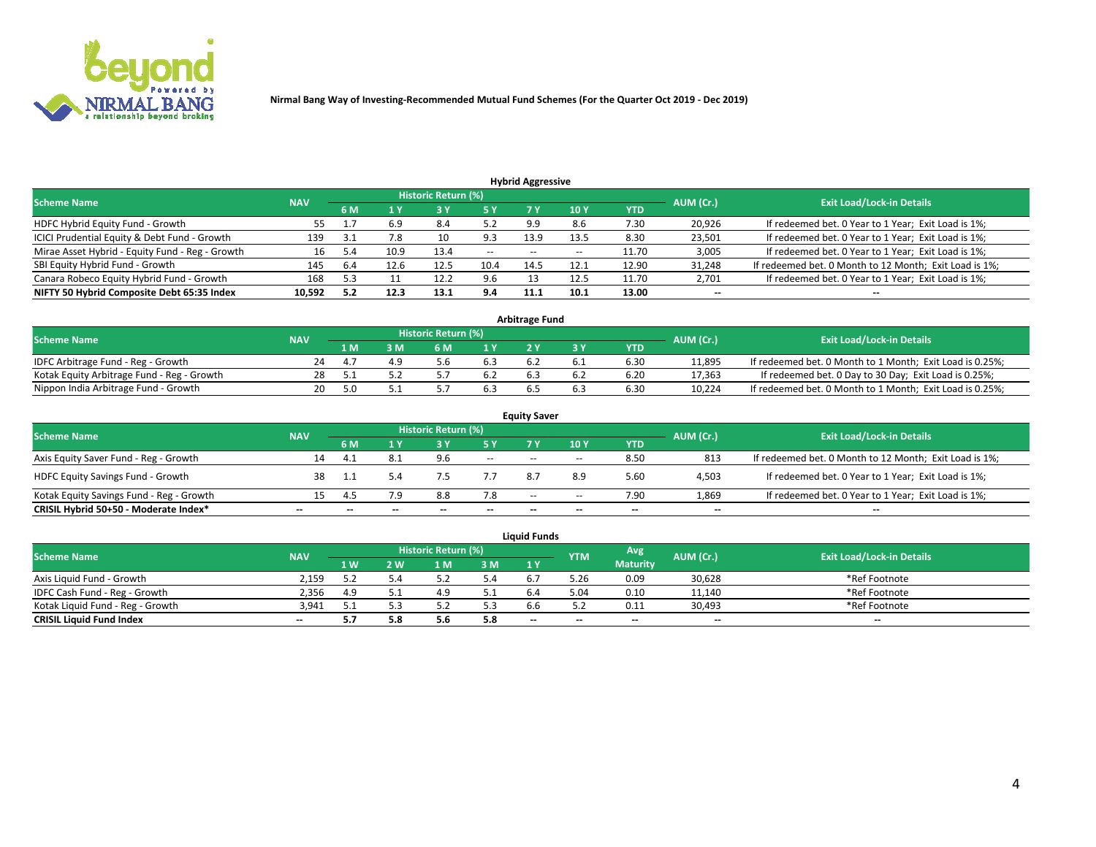

**Nirmal Bang Way of Investing-Recommended Mutual Fund Schemes (For the Quarter Oct 2019 - Dec 2019)**

|                                                 |            |           |      |                            |        | <b>Hybrid Aggressive</b> |                 |       |           |                                                        |
|-------------------------------------------------|------------|-----------|------|----------------------------|--------|--------------------------|-----------------|-------|-----------|--------------------------------------------------------|
| <b>Scheme Name</b>                              | <b>NAV</b> |           |      | <b>Historic Return (%)</b> |        |                          |                 |       | AUM (Cr.) | <b>Exit Load/Lock-in Details</b>                       |
|                                                 |            | 6 M       | 1 Y  |                            | '5 Y.  |                          | 10 <sub>1</sub> | YTD   |           |                                                        |
| HDFC Hybrid Equity Fund - Growth                | 55         | <b>L.</b> | 6.9  | 8.4                        | 5.2    | 9.9                      | 8.6             | 7.30  | 20,926    | If redeemed bet. 0 Year to 1 Year; Exit Load is 1%;    |
| ICICI Prudential Equity & Debt Fund - Growth    | 139        |           | 7.8  | 10                         | 9.3    | 13.9                     | 13.5            | 8.30  | 23,501    | If redeemed bet. 0 Year to 1 Year; Exit Load is 1%;    |
| Mirae Asset Hybrid - Equity Fund - Reg - Growth | 16         |           | 10.9 | 13.4                       | $\sim$ | $- -$                    | $- -$           | 11.70 | 3,005     | If redeemed bet. 0 Year to 1 Year; Exit Load is 1%;    |
| SBI Equity Hybrid Fund - Growth                 | 145        | 6.4       | 12.6 | 12.5                       | 10.4   | 14.5                     | 12.1            | 12.90 | 31,248    | If redeemed bet. 0 Month to 12 Month; Exit Load is 1%; |
| Canara Robeco Equity Hybrid Fund - Growth       | 168        | 5.3       |      | 12.2                       | 9.6    |                          | 12.5            | 11.70 | 2,701     | If redeemed bet. 0 Year to 1 Year; Exit Load is 1%;    |
| NIFTY 50 Hybrid Composite Debt 65:35 Index      | 10,592     | 5.2       | 12.3 | 13.1                       | 9.4    | 11.1                     | 10.1            | 13.00 | $\sim$    | $\sim$                                                 |

| <b>Arbitrage Fund</b>                      |            |     |     |                     |     |  |  |            |           |                                                          |  |  |  |  |
|--------------------------------------------|------------|-----|-----|---------------------|-----|--|--|------------|-----------|----------------------------------------------------------|--|--|--|--|
| Scheme Name                                | <b>NAV</b> |     |     | Historic Return (%) |     |  |  |            | AUM (Cr.) | <b>Exit Load/Lock-in Details</b>                         |  |  |  |  |
|                                            |            | 1 M | I M | 6 M                 | 1 V |  |  | <b>YTD</b> |           |                                                          |  |  |  |  |
| IDFC Arbitrage Fund - Reg - Growth         | 24         |     |     |                     |     |  |  | 6.30       | 11.895    | If redeemed bet. 0 Month to 1 Month; Exit Load is 0.25%; |  |  |  |  |
| Kotak Equity Arbitrage Fund - Reg - Growth | 28         |     |     |                     | b.2 |  |  | 6.20       | 17,363    | If redeemed bet. 0 Day to 30 Day; Exit Load is 0.25%;    |  |  |  |  |
| Nippon India Arbitrage Fund - Growth       | 20         | 5.0 |     |                     |     |  |  | 6.30       | 10,224    | If redeemed bet. 0 Month to 1 Month; Exit Load is 0.25%; |  |  |  |  |

| <b>Equity Saver</b>                      |            |     |     |                     |                          |        |       |       |                          |                                                        |  |  |  |
|------------------------------------------|------------|-----|-----|---------------------|--------------------------|--------|-------|-------|--------------------------|--------------------------------------------------------|--|--|--|
| <b>Scheme Name</b>                       | <b>NAV</b> |     |     | Historic Return (%) |                          |        |       |       | AUM (Cr.)                | <b>Exit Load/Lock-in Details</b>                       |  |  |  |
|                                          |            | 6 M |     |                     | 5 Y                      |        | 10Y   | YTD   |                          |                                                        |  |  |  |
| Axis Equity Saver Fund - Reg - Growth    | 14         | 4.  | 8.1 | 9.6                 | $\sim$                   | $\sim$ | $- -$ | 8.50  | 813                      | If redeemed bet. 0 Month to 12 Month; Exit Load is 1%; |  |  |  |
| <b>HDFC Equity Savings Fund - Growth</b> | 38         |     |     |                     |                          | 8.7    | 8.9   | 5.60  | 4,503                    | If redeemed bet. 0 Year to 1 Year; Exit Load is 1%;    |  |  |  |
| Kotak Equity Savings Fund - Reg - Growth |            |     | 7.9 | 8.8                 | 7.8                      | $\sim$ | $- -$ | 7.90  | 1,869                    | If redeemed bet. 0 Year to 1 Year; Exit Load is 1%;    |  |  |  |
| CRISIL Hybrid 50+50 - Moderate Index*    | $- -$      |     | --  |                     | $\overline{\phantom{a}}$ | --     | --    | $- -$ | $\overline{\phantom{a}}$ | $- -$                                                  |  |  |  |

| <b>Liquid Funds</b>              |            |                   |     |                     |     |                |            |                 |           |                                  |  |  |  |  |
|----------------------------------|------------|-------------------|-----|---------------------|-----|----------------|------------|-----------------|-----------|----------------------------------|--|--|--|--|
| <b>Scheme Name</b>               | <b>NAV</b> |                   |     | Historic Return (%) |     |                | <b>YTM</b> | <b>Avg</b>      | AUM (Cr.) | <b>Exit Load/Lock-in Details</b> |  |  |  |  |
|                                  |            | $4 \, \mathrm{W}$ | ' W | -M                  | 3 M | 1 <sub>Y</sub> |            | <b>Maturity</b> |           |                                  |  |  |  |  |
| Axis Liquid Fund - Growth        | 2.159      |                   |     |                     |     |                | 3.26       | 0.09            | 30,628    | *Ref Footnote                    |  |  |  |  |
| IDFC Cash Fund - Reg - Growth    | 2.356      | 4.9               |     | 4.9                 |     |                | 04.د       | 0.10            | 11,140    | *Ref Footnote                    |  |  |  |  |
| Kotak Liguid Fund - Reg - Growth | 3.941      |                   |     |                     | 5.3 |                |            | 0.11            | 30,493    | *Ref Footnote                    |  |  |  |  |
| <b>CRISIL Liquid Fund Index</b>  | $\sim$     |                   | 5.8 | 5.6                 | 5.8 | $\sim$         | $\sim$     | $- -$           | $\sim$    | $\sim$                           |  |  |  |  |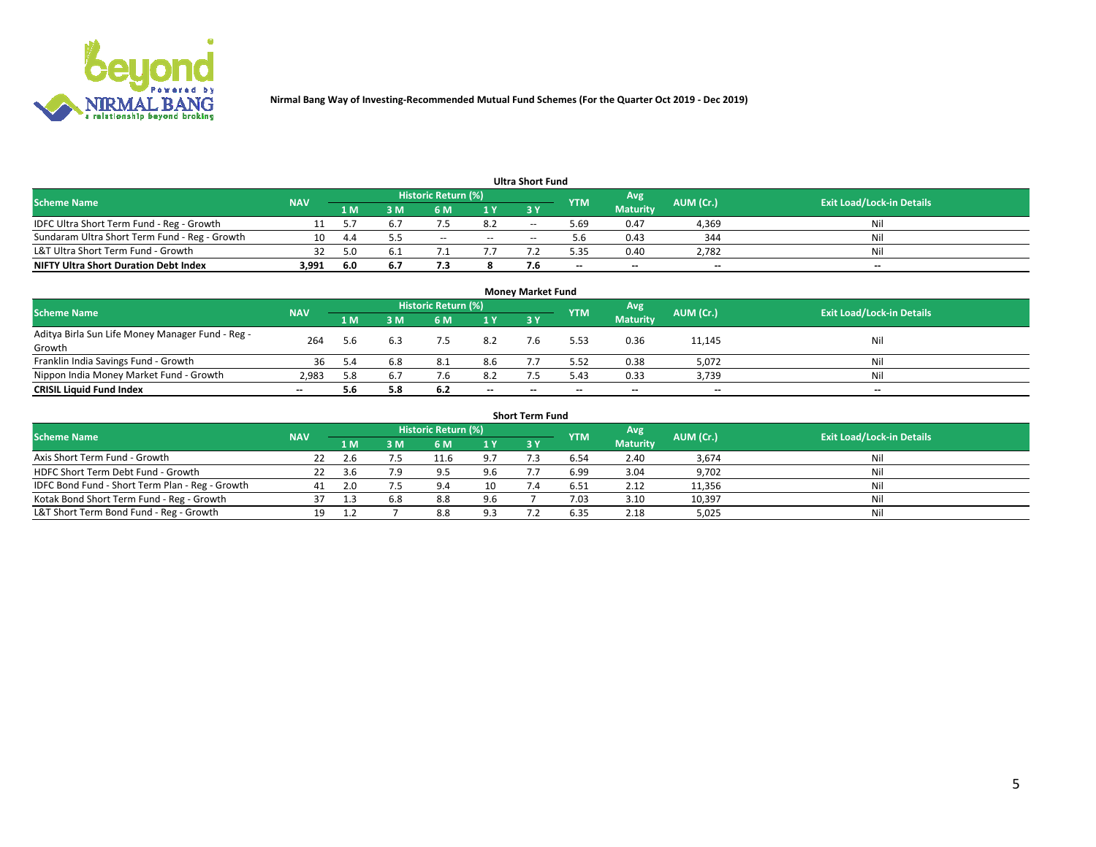

**Nirmal Bang Way of Investing-Recommended Mutual Fund Schemes (For the Quarter Oct 2019 - Dec 2019)**

| Ultra Short Fund                              |            |      |                     |            |     |           |                                  |                 |        |       |  |  |  |
|-----------------------------------------------|------------|------|---------------------|------------|-----|-----------|----------------------------------|-----------------|--------|-------|--|--|--|
| <b>Scheme Name</b>                            | <b>NAV</b> |      | Historic Return (%) | <b>YTM</b> | Avg | AUM (Cr.) | <b>Exit Load/Lock-in Details</b> |                 |        |       |  |  |  |
|                                               |            | 1 M  | 3 M                 | 6 M        | 1 Y | 3 Y       |                                  | <b>Maturity</b> |        |       |  |  |  |
| IDFC Ultra Short Term Fund - Reg - Growth     |            |      |                     |            | 8.2 | $-$       | ۔ 69. ذ                          | 0.47            | 4,369  | Nil   |  |  |  |
| Sundaram Ultra Short Term Fund - Reg - Growth |            | -4.4 |                     | $- -$      | $-$ | --        |                                  | 0.43            | 344    | Nil   |  |  |  |
| L&T Ultra Short Term Fund - Growth            |            |      |                     |            |     |           | 5.35                             | 0.40            | 2,782  | Nil   |  |  |  |
| <b>NIFTY Ultra Short Duration Debt Index</b>  | 3,991      | -6.0 | 6.7                 |            |     |           | $-$                              | $-$             | $\sim$ | $- -$ |  |  |  |

| <b>Money Market Fund</b>                                   |            |     |     |                     |        |    |            |                 |           |                                  |  |  |  |
|------------------------------------------------------------|------------|-----|-----|---------------------|--------|----|------------|-----------------|-----------|----------------------------------|--|--|--|
| <b>Scheme Name</b>                                         | <b>NAV</b> |     |     | Historic Return (%) |        |    | <b>YTM</b> | 'Avg            | AUM (Cr.) | <b>Exit Load/Lock-in Details</b> |  |  |  |
|                                                            |            | 1 M | 3 M | 6 M                 | 1 Y    | 3Y |            | <b>Maturity</b> |           |                                  |  |  |  |
| Aditya Birla Sun Life Money Manager Fund - Reg -<br>Growth | 264        | 5.6 |     | 7.5                 | 8.2    |    | 5.53       | 0.36            | 11,145    | Nil                              |  |  |  |
| Franklin India Savings Fund - Growth                       | 36         | 5.4 | 6.8 | 8.1                 | 8.6    |    | 5.52       | 0.38            | 5,072     | Nil                              |  |  |  |
| Nippon India Money Market Fund - Growth                    | 2.983      | 5.8 |     | 7.6                 | 8.2    |    | 5.43       | 0.33            | 3,739     | Nil                              |  |  |  |
| <b>CRISIL Liquid Fund Index</b>                            | $- -$      | 5.6 | 5.8 | 6.2                 | $\sim$ | -- | --         | $\sim$          | $\sim$    | $\sim$                           |  |  |  |

| <b>Short Term Fund</b>                          |            |      |     |                     |     |           |            |                 |           |                                  |  |  |  |  |
|-------------------------------------------------|------------|------|-----|---------------------|-----|-----------|------------|-----------------|-----------|----------------------------------|--|--|--|--|
| <b>Scheme Name</b>                              | <b>NAV</b> |      |     | Historic Return (%) |     |           | <b>YTM</b> | Avg             | AUM (Cr.) | <b>Exit Load/Lock-in Details</b> |  |  |  |  |
|                                                 |            | 1 M  | 3 M | 6 M                 | 1Y  | <b>3Y</b> |            | <b>Maturity</b> |           |                                  |  |  |  |  |
| Axis Short Term Fund - Growth                   |            |      |     | 11.6                | 9.7 |           | 6.54       | 2.40            | 3,674     | Nil                              |  |  |  |  |
| HDFC Short Term Debt Fund - Growth              | 22         | -3.6 | 7.9 | Q                   | 9.6 |           | 6.99       | 3.04            | 9,702     | Nil                              |  |  |  |  |
| IDFC Bond Fund - Short Term Plan - Reg - Growth | 41         |      |     | 9.4                 | 10  |           | 6.51       | 2.12            | 11,356    | Nil                              |  |  |  |  |
| Kotak Bond Short Term Fund - Reg - Growth       |            |      | 6.8 | 8.8                 | 9.6 |           | 7.03       | 3.10            | 10,397    | Nil                              |  |  |  |  |
| L&T Short Term Bond Fund - Reg - Growth         |            |      |     | 8.8                 | 9.3 |           | 6.35       | 2.18            | 5,025     | Nil                              |  |  |  |  |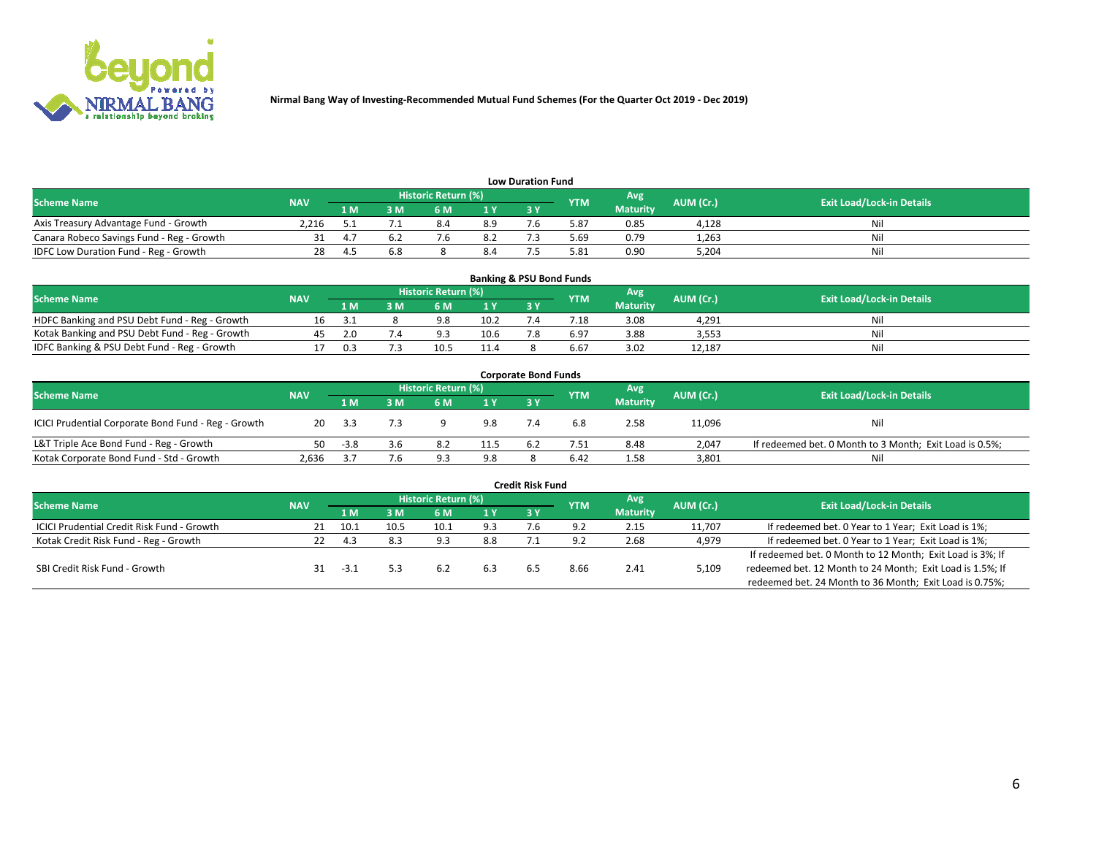

| <b>Low Duration Fund</b>                  |            |     |     |                     |                |     |            |                 |           |                                  |  |  |  |
|-------------------------------------------|------------|-----|-----|---------------------|----------------|-----|------------|-----------------|-----------|----------------------------------|--|--|--|
| <b>Scheme Name</b>                        | <b>NAV</b> |     |     | Historic Return (%) |                |     | <b>YTM</b> | Avg             | AUM (Cr.) | <b>Exit Load/Lock-in Details</b> |  |  |  |
|                                           |            | 1 M | sм  | 6 M                 | 1 <sub>V</sub> | 3 Y |            | <b>Maturity</b> |           |                                  |  |  |  |
| Axis Treasury Advantage Fund - Growth     | 2.216      |     |     | 8.4                 | 8.9            |     | 5.87       | 0.85            | 4.128     | Nil                              |  |  |  |
| Canara Robeco Savings Fund - Reg - Growth |            |     |     |                     | 8.2            |     | 69.د       | 0.79            | 1,263     | Nil                              |  |  |  |
| IDFC Low Duration Fund - Reg - Growth     | 28         | Δ   | 6.8 |                     | 8.4            |     | 5.81       | 0.90            | 5,204     | Nil                              |  |  |  |

| <b>Banking &amp; PSU Bond Funds</b>            |            |     |     |                            |      |    |                 |                 |           |                                  |  |  |  |
|------------------------------------------------|------------|-----|-----|----------------------------|------|----|-----------------|-----------------|-----------|----------------------------------|--|--|--|
| <b>Scheme Name</b>                             | <b>NAV</b> |     |     | <b>Historic Return (%)</b> |      |    | <b>YTM</b>      | Avg             | AUM (Cr.) | <b>Exit Load/Lock-in Details</b> |  |  |  |
|                                                |            | 1 M | 8 M | 6 M                        |      | 3Y |                 | <b>Maturity</b> |           |                                  |  |  |  |
| HDFC Banking and PSU Debt Fund - Reg - Growth  |            |     |     | 9.8                        | 10.2 |    | $^{\prime}$ .18 | 3.08            | 4.291     | Ni                               |  |  |  |
| Kotak Banking and PSU Debt Fund - Reg - Growth |            | 2.0 |     | د ۵                        | 10.6 |    | 6.97            | 3.88            | 3,553     | Ni                               |  |  |  |
| IDFC Banking & PSU Debt Fund - Reg - Growth    |            | n a |     | 10.!                       | 11.4 |    | 6.67            | 3.02            | 12.187    | Ni                               |  |  |  |

| <b>Corporate Bond Funds</b>                         |            |        |     |                     |      |    |            |                 |           |                                                         |  |  |  |  |
|-----------------------------------------------------|------------|--------|-----|---------------------|------|----|------------|-----------------|-----------|---------------------------------------------------------|--|--|--|--|
| <b>Scheme Name</b>                                  | <b>NAV</b> |        |     | Historic Return (%) |      |    | <b>YTM</b> | Avg'            | AUM (Cr.) | <b>Exit Load/Lock-in Details</b>                        |  |  |  |  |
|                                                     |            | 1 M    | : M | 6 M                 | 1 Y  | 3Y |            | <b>Maturity</b> |           |                                                         |  |  |  |  |
| ICICI Prudential Corporate Bond Fund - Reg - Growth | 20         | - 3.3  |     |                     | 9.8  |    | 6.8        | 2.58            | 11,096    | Nil                                                     |  |  |  |  |
| L&T Triple Ace Bond Fund - Reg - Growth             | 50.        | $-3.8$ | 3.6 | 8.2                 | 11.5 |    | 7.51       | 8.48            | 2,047     | If redeemed bet. 0 Month to 3 Month; Exit Load is 0.5%; |  |  |  |  |
| Kotak Corporate Bond Fund - Std - Growth            | 2.636      |        | 7.6 | Q <sub>2</sub>      | 9.8  |    | 6.42       | 1.58            | 3,801     | Nil                                                     |  |  |  |  |

| <b>Credit Risk Fund</b>                           |            |        |      |                            |     |     |            |                 |           |                                                           |  |  |  |
|---------------------------------------------------|------------|--------|------|----------------------------|-----|-----|------------|-----------------|-----------|-----------------------------------------------------------|--|--|--|
| <b>Scheme Name</b>                                | <b>NAV</b> |        |      | <b>Historic Return (%)</b> |     |     | <b>YTM</b> | 'Avg            | AUM (Cr.) | <b>Exit Load/Lock-in Details</b>                          |  |  |  |
|                                                   |            | 1 M    | 3 M  | 6 M                        | 1 Y | 3Y  |            | <b>Maturity</b> |           |                                                           |  |  |  |
| <b>ICICI Prudential Credit Risk Fund - Growth</b> |            | 10.1   | 10.5 | 10.1                       | 9.3 | 7.b | 9.2        | 2.15            | 11,707    | If redeemed bet. 0 Year to 1 Year; Exit Load is 1%;       |  |  |  |
| Kotak Credit Risk Fund - Reg - Growth             |            | -4.3   | 8.3  | د ۵                        | 8.8 |     |            | 2.68            | 4,979     | If redeemed bet. 0 Year to 1 Year; Exit Load is 1%;       |  |  |  |
|                                                   |            |        |      |                            |     |     |            |                 |           | If redeemed bet. 0 Month to 12 Month; Exit Load is 3%; If |  |  |  |
| SBI Credit Risk Fund - Growth                     |            | $-3.1$ |      | 6.2                        |     |     | 8.66       | 2.41            | 5,109     | redeemed bet. 12 Month to 24 Month; Exit Load is 1.5%; If |  |  |  |
|                                                   |            |        |      |                            |     |     |            |                 |           | redeemed bet. 24 Month to 36 Month; Exit Load is 0.75%;   |  |  |  |